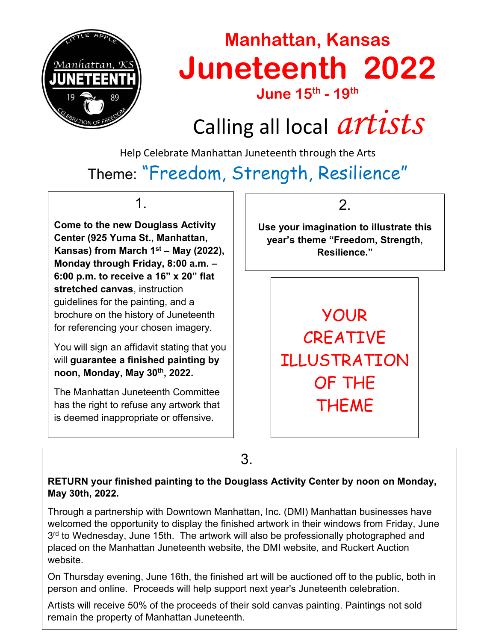

## **Manhattan, Kansas Juneteenth 2022**

**June 15th - 19th**

# Calling all local *artists*

Help Celebrate Manhattan Juneteenth through the Arts

### Theme: "Freedom, Strength, Resilience"

1.

**Come to the new Douglass Activity Center (925 Yuma St., Manhattan, Kansas) from March 1st – May (2022), Monday through Friday, 8:00 a.m. – 6:00 p.m. to receive a 16" x 20" flat stretched canvas**, instruction guidelines for the painting, and a brochure on the history of Juneteenth for referencing your chosen imagery.

You will sign an affidavit stating that you will **guarantee a finished painting by noon, Monday, May 30th, 2022.**

The Manhattan Juneteenth Committee has the right to refuse any artwork that is deemed inappropriate or offensive.

2.

**Use your imagination to illustrate this year's theme "Freedom, Strength, Resilience."**

> YOUR **CREATIVE** ILLUSTRATION OF THE **THEME**

3.

#### **RETURN your finished painting to the Douglass Activity Center by noon on Monday, May 30th, 2022.**

Through a partnership with Downtown Manhattan, Inc. (DMI) Manhattan businesses have welcomed the opportunity to display the finished artwork in their windows from Friday, June 3<sup>rd</sup> to Wednesday, June 15th. The artwork will also be professionally photographed and placed on the Manhattan Juneteenth website, the DMI website, and Ruckert Auction website.

On Thursday evening, June 16th, the finished art will be auctioned off to the public, both in person and online. Proceeds will help support next year's Juneteenth celebration.

Artists will receive 50% of the proceeds of their sold canvas painting. Paintings not sold remain the property of Manhattan Juneteenth.